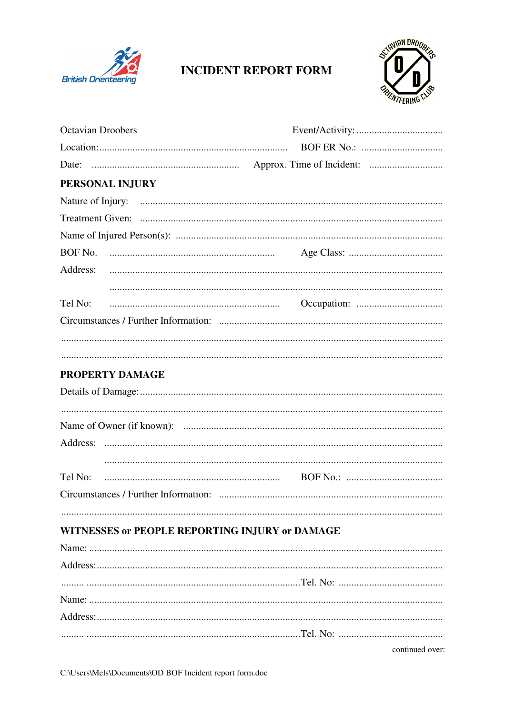

## **INCIDENT REPORT FORM**



| <b>Octavian Droobers</b>                       |                 |  |
|------------------------------------------------|-----------------|--|
|                                                |                 |  |
|                                                |                 |  |
| PERSONAL INJURY                                |                 |  |
|                                                |                 |  |
|                                                |                 |  |
|                                                |                 |  |
|                                                |                 |  |
| Address:                                       |                 |  |
|                                                |                 |  |
| Tel No:                                        |                 |  |
|                                                |                 |  |
|                                                |                 |  |
|                                                |                 |  |
| PROPERTY DAMAGE                                |                 |  |
|                                                |                 |  |
|                                                |                 |  |
|                                                |                 |  |
|                                                |                 |  |
|                                                |                 |  |
| Tel No:                                        |                 |  |
|                                                |                 |  |
|                                                |                 |  |
| WITNESSES or PEOPLE REPORTING INJURY or DAMAGE |                 |  |
|                                                |                 |  |
|                                                |                 |  |
|                                                |                 |  |
|                                                |                 |  |
|                                                |                 |  |
|                                                |                 |  |
|                                                | continued over: |  |